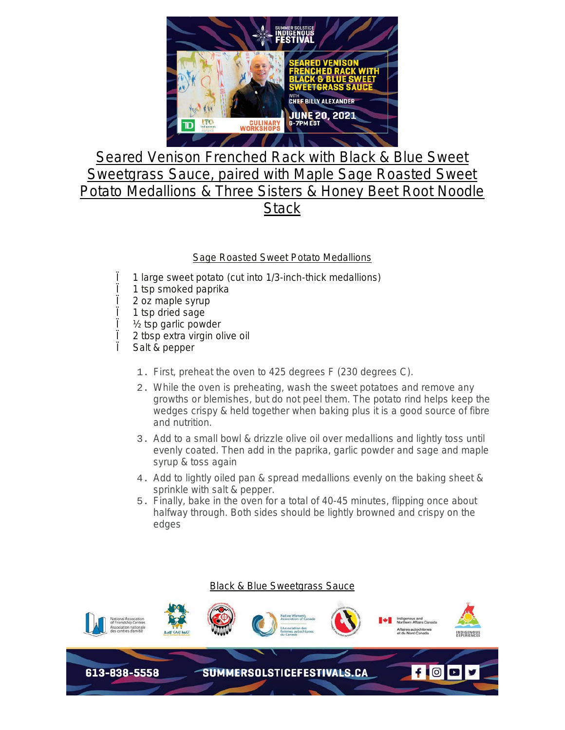

## Seared Venison Frenched Rack with Black & Blue Sweet Sweetgrass Sauce, paired with Maple Sage Roasted Sweet Potato Medallions & Three Sisters & Honey Beet Root Noodle **Stack**

## Sage Roasted Sweet Potato Medallions

- Ï 1 large sweet potato (cut into 1/3-inch-thick medallions)
- $\ddot{\textbf{i}}$  1 tsp smoked paprika<br> $\ddot{\textbf{i}}$  2 oz maple svrup
- Ï 2 oz maple syrup
- $\parallel$  1 tsp dried sage<br> $\parallel$  2 tsp garlic power
- $\frac{1}{2}$  tsp garlic powder
- Î 2 tbsp extra virgin olive oil<br>Ï Salt & pepper
- Salt & pepper
	- 1. First, preheat the oven to 425 degrees F (230 degrees C).
	- 2. While the oven is preheating, wash the sweet potatoes and remove any growths or blemishes, but do not peel them. The potato rind helps keep the wedges crispy & held together when baking plus it is a good source of fibre and nutrition.
	- 3. Add to a small bowl & drizzle olive oil over medallions and lightly toss until evenly coated. Then add in the paprika, garlic powder and sage and maple syrup & toss again
	- 4. Add to lightly oiled pan & spread medallions evenly on the baking sheet & sprinkle with salt & pepper.
	- 5. Finally, bake in the oven for a total of 40-45 minutes, flipping once about halfway through. Both sides should be lightly browned and crispy on the edges

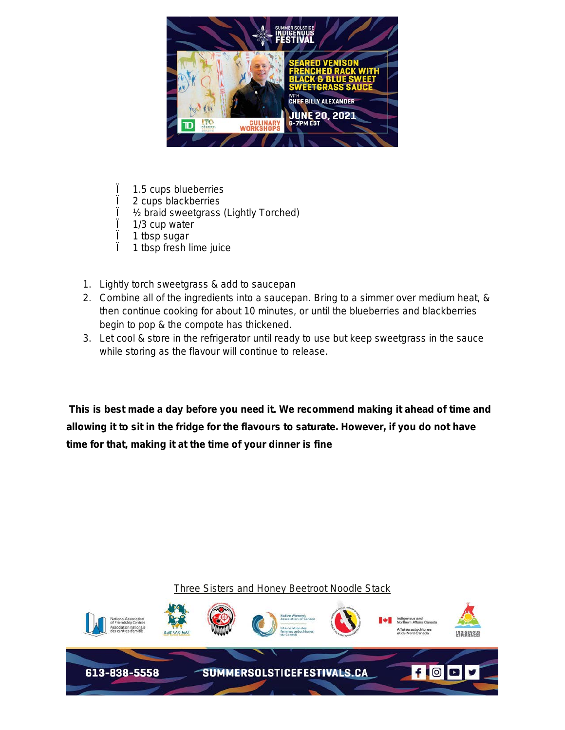

- $\ddot{\textbf{i}}$  1.5 cups blueberries<br> $\ddot{\textbf{i}}$  2 cups blackberries
- $\int$  2 cups blackberries<br> $\int$  ½ braid sweetgrass
- 1/<sub>2</sub> braid sweetgrass (Lightly Torched)
- $\ddot{i}$  1/3 cup water<br> $\ddot{i}$  1 tbsp sugar
- 1 tbsp sugar
- Ï 1 tbsp fresh lime juice
- 1. Lightly torch sweetgrass & add to saucepan
- 2. Combine all of the ingredients into a saucepan. Bring to a simmer over medium heat, & then continue cooking for about 10 minutes, or until the blueberries and blackberries begin to pop & the compote has thickened.
- 3. Let cool & store in the refrigerator until ready to use but keep sweetgrass in the sauce while storing as the flavour will continue to release.

*This is best made a day before you need it. We recommend making it ahead of time and allowing it to sit in the fridge for the flavours to saturate. However, if you do not have time for that, making it at the time of your dinner is fine* 

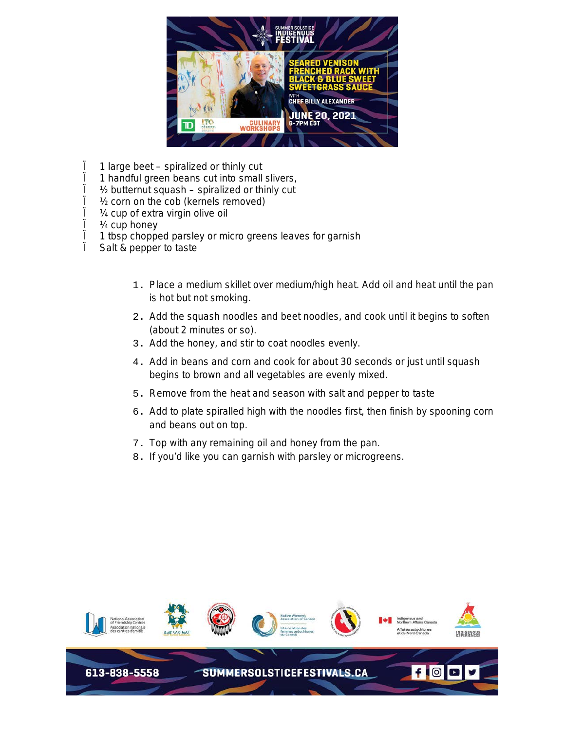

- $\ddot{\textbf{i}}$  1 large beet spiralized or thinly cut<br> $\ddot{\textbf{i}}$  1 handful green beans cut into small
- 1 handful green beans cut into small slivers,
- $\frac{1}{2}$  butternut squash spiralized or thinly cut
- $\frac{1}{1}$  1/<sub>2</sub> corn on the cob (kernels removed)<br> $\frac{1}{1}$  1/<sub>4</sub> cup of extra virgin olive oil
- $\frac{1}{1}$  /4 cup of extra virgin olive oil<br> $\frac{1}{1}$  /4 cup honev
- $\int$   $\frac{1}{4}$  cup honey<br> $\int$  1 thsp choppe
- Ï 1 tbsp chopped parsley or micro greens leaves for garnish
- Salt & pepper to taste
	- 1. Place a medium skillet over medium/high heat. Add oil and heat until the pan is hot but not smoking.
	- 2. Add the squash noodles and beet noodles, and cook until it begins to soften (about 2 minutes or so).
	- 3. Add the honey, and stir to coat noodles evenly.
	- 4. Add in beans and corn and cook for about 30 seconds or just until squash begins to brown and all vegetables are evenly mixed.
	- 5. Remove from the heat and season with salt and pepper to taste
	- 6. Add to plate spiralled high with the noodles first, then finish by spooning corn and beans out on top.
	- 7. Top with any remaining oil and honey from the pan.
	- 8. If you'd like you can garnish with parsley or microgreens.